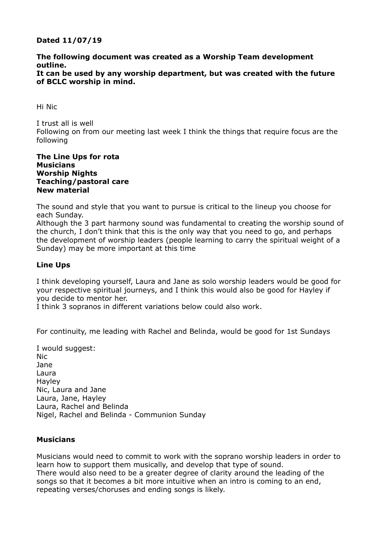## **Dated 11/07/19**

## **The following document was created as a Worship Team development outline.**

### **It can be used by any worship department, but was created with the future of BCLC worship in mind.**

Hi Nic

I trust all is well Following on from our meeting last week I think the things that require focus are the following

### **The Line Ups for rota Musicians Worship Nights Teaching/pastoral care New material**

The sound and style that you want to pursue is critical to the lineup you choose for each Sunday.

Although the 3 part harmony sound was fundamental to creating the worship sound of the church, I don't think that this is the only way that you need to go, and perhaps the development of worship leaders (people learning to carry the spiritual weight of a Sunday) may be more important at this time

# **Line Ups**

I think developing yourself, Laura and Jane as solo worship leaders would be good for your respective spiritual journeys, and I think this would also be good for Hayley if you decide to mentor her.

I think 3 sopranos in different variations below could also work.

For continuity, me leading with Rachel and Belinda, would be good for 1st Sundays

I would suggest: Nic Jane Laura Hayley Nic, Laura and Jane Laura, Jane, Hayley Laura, Rachel and Belinda Nigel, Rachel and Belinda - Communion Sunday

## **Musicians**

Musicians would need to commit to work with the soprano worship leaders in order to learn how to support them musically, and develop that type of sound. There would also need to be a greater degree of clarity around the leading of the songs so that it becomes a bit more intuitive when an intro is coming to an end, repeating verses/choruses and ending songs is likely.